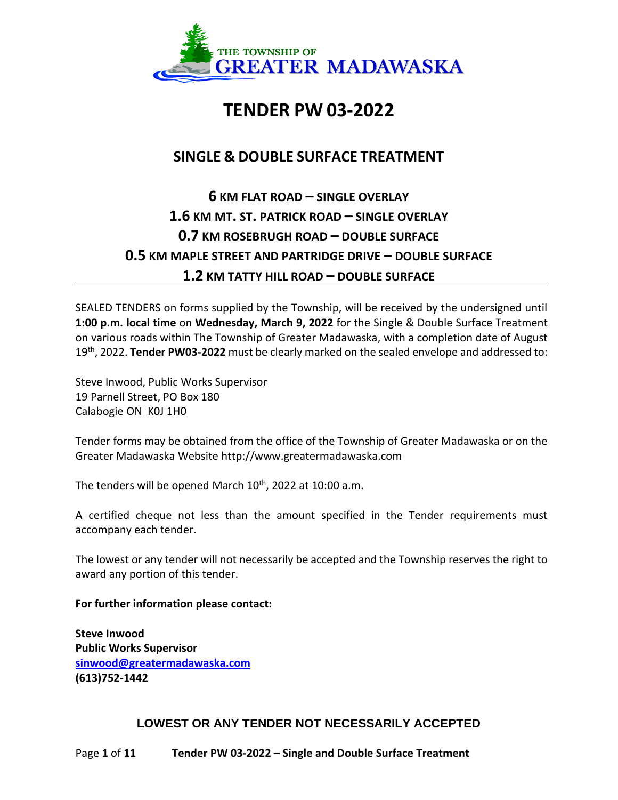

# **TENDER PW 03-2022**

# **SINGLE & DOUBLE SURFACE TREATMENT**

# **6 KM FLAT ROAD – SINGLE OVERLAY 1.6 KM MT. ST. PATRICK ROAD – SINGLE OVERLAY 0.7 KM ROSEBRUGH ROAD – DOUBLE SURFACE 0.5 KM MAPLE STREET AND PARTRIDGE DRIVE – DOUBLE SURFACE 1.2 KM TATTY HILL ROAD – DOUBLE SURFACE**

SEALED TENDERS on forms supplied by the Township, will be received by the undersigned until **1:00 p.m. local time** on **Wednesday, March 9, 2022** for the Single & Double Surface Treatment on various roads within The Township of Greater Madawaska, with a completion date of August 19th, 2022. **Tender PW03-2022** must be clearly marked on the sealed envelope and addressed to:

Steve Inwood, Public Works Supervisor 19 Parnell Street, PO Box 180 Calabogie ON K0J 1H0

Tender forms may be obtained from the office of the Township of Greater Madawaska or on the Greater Madawaska Website http://www.greatermadawaska.com

The tenders will be opened March  $10^{th}$ , 2022 at 10:00 a.m.

A certified cheque not less than the amount specified in the Tender requirements must accompany each tender.

The lowest or any tender will not necessarily be accepted and the Township reserves the right to award any portion of this tender.

## **For further information please contact:**

**Steve Inwood Public Works Supervisor [sinwood@greatermadawaska.com](mailto:sinwood@greatermadawaska.com) (613)752-1442**

# **LOWEST OR ANY TENDER NOT NECESSARILY ACCEPTED**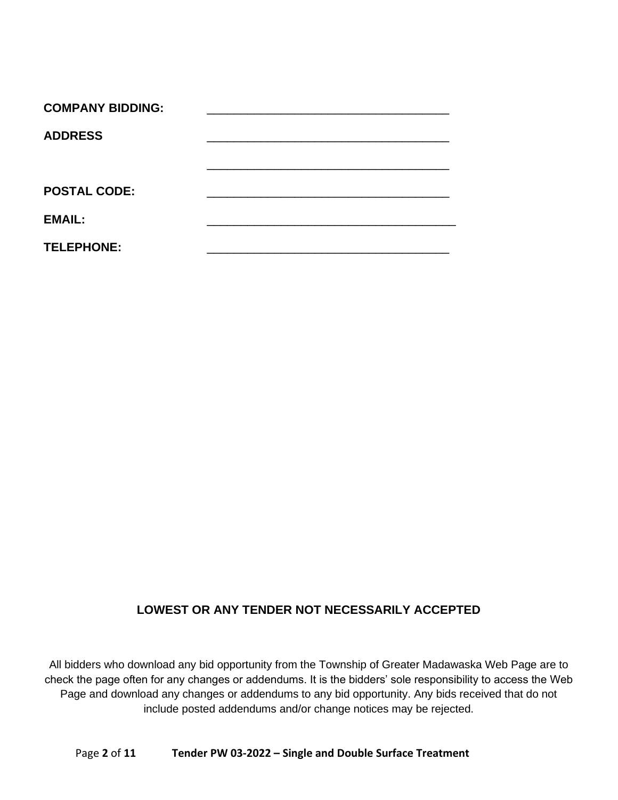| <b>COMPANY BIDDING:</b> |  |
|-------------------------|--|
| <b>ADDRESS</b>          |  |
|                         |  |
|                         |  |
| <b>POSTAL CODE:</b>     |  |
| <b>EMAIL:</b>           |  |
| <b>TELEPHONE:</b>       |  |

# **LOWEST OR ANY TENDER NOT NECESSARILY ACCEPTED**

All bidders who download any bid opportunity from the Township of Greater Madawaska Web Page are to check the page often for any changes or addendums. It is the bidders' sole responsibility to access the Web Page and download any changes or addendums to any bid opportunity. Any bids received that do not include posted addendums and/or change notices may be rejected.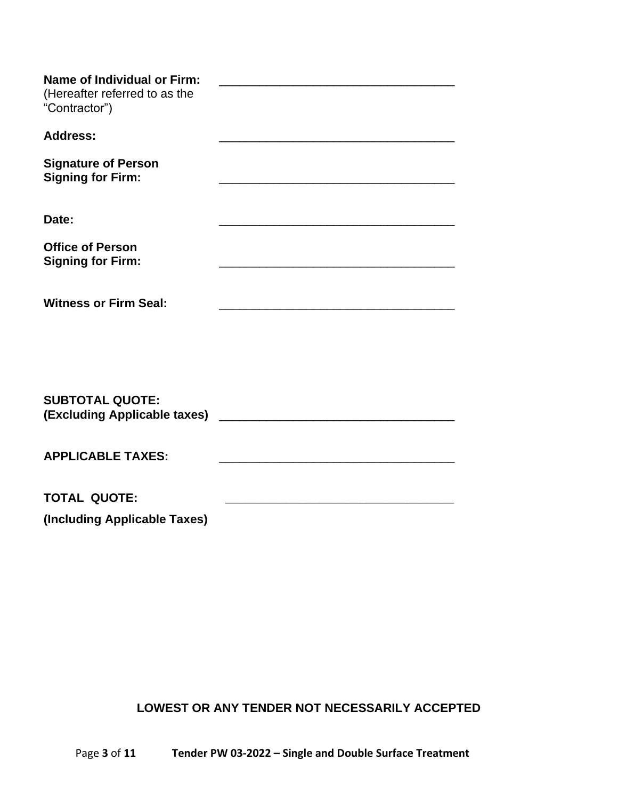| <b>Name of Individual or Firm:</b><br>(Hereafter referred to as the<br>"Contractor") | <u> 1980 - Johann John Harry Hermann (f. 1980)</u> |
|--------------------------------------------------------------------------------------|----------------------------------------------------|
| <b>Address:</b>                                                                      |                                                    |
| <b>Signature of Person</b><br><b>Signing for Firm:</b>                               |                                                    |
| Date:                                                                                |                                                    |
| <b>Office of Person</b><br><b>Signing for Firm:</b>                                  |                                                    |
| <b>Witness or Firm Seal:</b>                                                         |                                                    |
|                                                                                      |                                                    |
| <b>SUBTOTAL QUOTE:</b><br>(Excluding Applicable taxes)                               |                                                    |
| <b>APPLICABLE TAXES:</b>                                                             |                                                    |
| <b>TOTAL QUOTE:</b>                                                                  |                                                    |
| (Including Applicable Taxes)                                                         |                                                    |

**LOWEST OR ANY TENDER NOT NECESSARILY ACCEPTED**

Page **3** of **11 Tender PW 03-2022 – Single and Double Surface Treatment**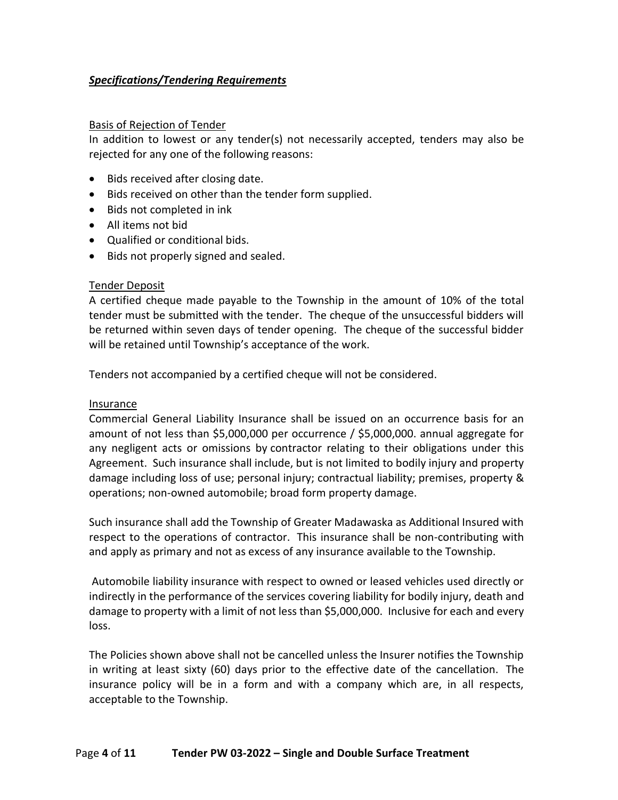## *Specifications/Tendering Requirements*

#### Basis of Rejection of Tender

In addition to lowest or any tender(s) not necessarily accepted, tenders may also be rejected for any one of the following reasons:

- Bids received after closing date.
- Bids received on other than the tender form supplied.
- Bids not completed in ink
- All items not bid
- Qualified or conditional bids.
- Bids not properly signed and sealed.

#### Tender Deposit

A certified cheque made payable to the Township in the amount of 10% of the total tender must be submitted with the tender. The cheque of the unsuccessful bidders will be returned within seven days of tender opening. The cheque of the successful bidder will be retained until Township's acceptance of the work.

Tenders not accompanied by a certified cheque will not be considered.

#### Insurance

Commercial General Liability Insurance shall be issued on an occurrence basis for an amount of not less than \$5,000,000 per occurrence / \$5,000,000. annual aggregate for any negligent acts or omissions by contractor relating to their obligations under this Agreement. Such insurance shall include, but is not limited to bodily injury and property damage including loss of use; personal injury; contractual liability; premises, property & operations; non-owned automobile; broad form property damage.

Such insurance shall add the Township of Greater Madawaska as Additional Insured with respect to the operations of contractor. This insurance shall be non-contributing with and apply as primary and not as excess of any insurance available to the Township.

Automobile liability insurance with respect to owned or leased vehicles used directly or indirectly in the performance of the services covering liability for bodily injury, death and damage to property with a limit of not less than \$5,000,000. Inclusive for each and every loss.

The Policies shown above shall not be cancelled unless the Insurer notifies the Township in writing at least sixty (60) days prior to the effective date of the cancellation. The insurance policy will be in a form and with a company which are, in all respects, acceptable to the Township.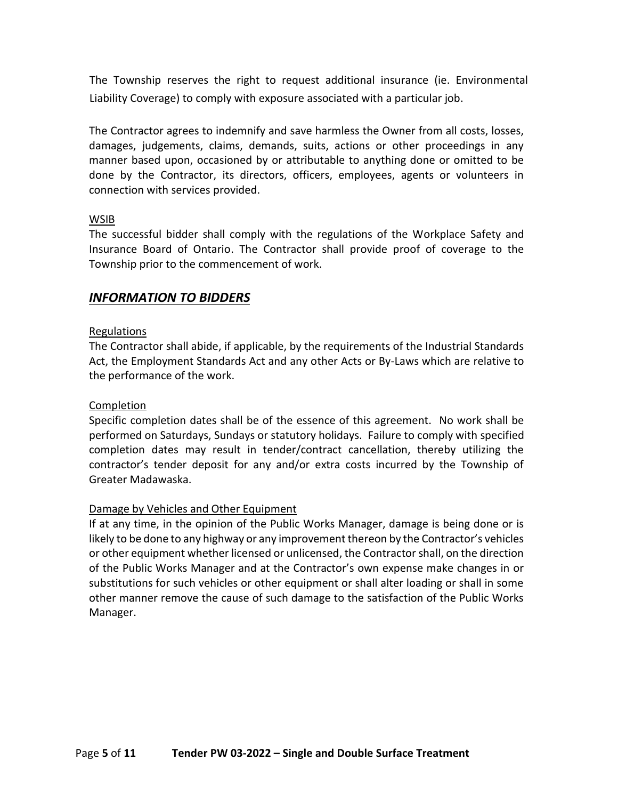The Township reserves the right to request additional insurance (ie. Environmental Liability Coverage) to comply with exposure associated with a particular job.

The Contractor agrees to indemnify and save harmless the Owner from all costs, losses, damages, judgements, claims, demands, suits, actions or other proceedings in any manner based upon, occasioned by or attributable to anything done or omitted to be done by the Contractor, its directors, officers, employees, agents or volunteers in connection with services provided.

### WSIB

The successful bidder shall comply with the regulations of the Workplace Safety and Insurance Board of Ontario. The Contractor shall provide proof of coverage to the Township prior to the commencement of work.

# *INFORMATION TO BIDDERS*

## Regulations

The Contractor shall abide, if applicable, by the requirements of the Industrial Standards Act, the Employment Standards Act and any other Acts or By-Laws which are relative to the performance of the work.

## Completion

Specific completion dates shall be of the essence of this agreement. No work shall be performed on Saturdays, Sundays or statutory holidays. Failure to comply with specified completion dates may result in tender/contract cancellation, thereby utilizing the contractor's tender deposit for any and/or extra costs incurred by the Township of Greater Madawaska.

#### Damage by Vehicles and Other Equipment

If at any time, in the opinion of the Public Works Manager, damage is being done or is likely to be done to any highway or any improvement thereon by the Contractor's vehicles or other equipment whether licensed or unlicensed, the Contractor shall, on the direction of the Public Works Manager and at the Contractor's own expense make changes in or substitutions for such vehicles or other equipment or shall alter loading or shall in some other manner remove the cause of such damage to the satisfaction of the Public Works Manager.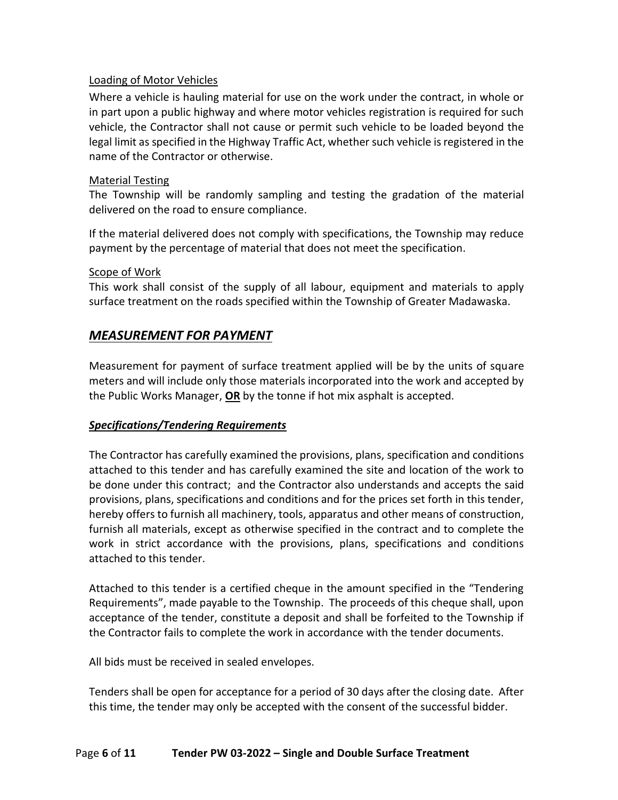## Loading of Motor Vehicles

Where a vehicle is hauling material for use on the work under the contract, in whole or in part upon a public highway and where motor vehicles registration is required for such vehicle, the Contractor shall not cause or permit such vehicle to be loaded beyond the legal limit as specified in the Highway Traffic Act, whether such vehicle is registered in the name of the Contractor or otherwise.

#### Material Testing

The Township will be randomly sampling and testing the gradation of the material delivered on the road to ensure compliance.

If the material delivered does not comply with specifications, the Township may reduce payment by the percentage of material that does not meet the specification.

#### Scope of Work

This work shall consist of the supply of all labour, equipment and materials to apply surface treatment on the roads specified within the Township of Greater Madawaska.

# *MEASUREMENT FOR PAYMENT*

Measurement for payment of surface treatment applied will be by the units of square meters and will include only those materials incorporated into the work and accepted by the Public Works Manager, **OR** by the tonne if hot mix asphalt is accepted.

## *Specifications/Tendering Requirements*

The Contractor has carefully examined the provisions, plans, specification and conditions attached to this tender and has carefully examined the site and location of the work to be done under this contract; and the Contractor also understands and accepts the said provisions, plans, specifications and conditions and for the prices set forth in this tender, hereby offers to furnish all machinery, tools, apparatus and other means of construction, furnish all materials, except as otherwise specified in the contract and to complete the work in strict accordance with the provisions, plans, specifications and conditions attached to this tender.

Attached to this tender is a certified cheque in the amount specified in the "Tendering Requirements", made payable to the Township. The proceeds of this cheque shall, upon acceptance of the tender, constitute a deposit and shall be forfeited to the Township if the Contractor fails to complete the work in accordance with the tender documents.

All bids must be received in sealed envelopes.

Tenders shall be open for acceptance for a period of 30 days after the closing date. After this time, the tender may only be accepted with the consent of the successful bidder.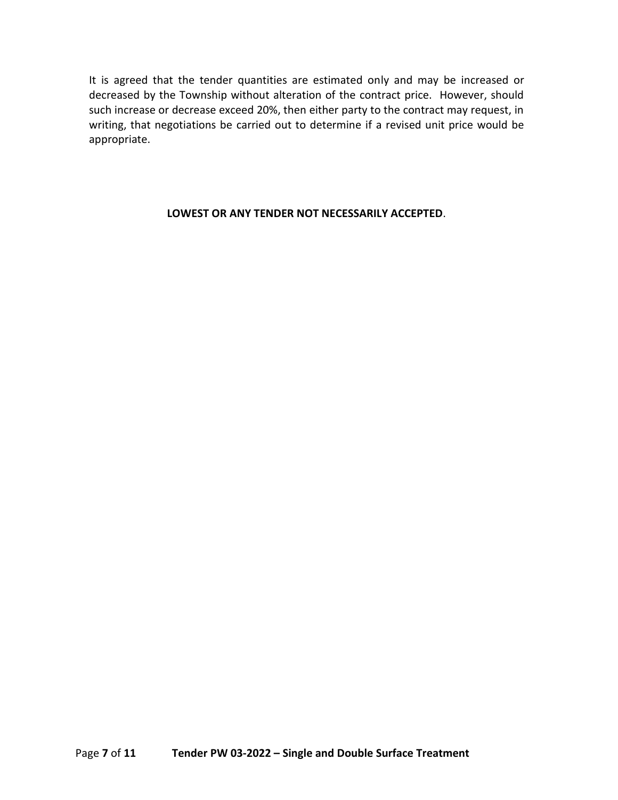It is agreed that the tender quantities are estimated only and may be increased or decreased by the Township without alteration of the contract price. However, should such increase or decrease exceed 20%, then either party to the contract may request, in writing, that negotiations be carried out to determine if a revised unit price would be appropriate.

### **LOWEST OR ANY TENDER NOT NECESSARILY ACCEPTED**.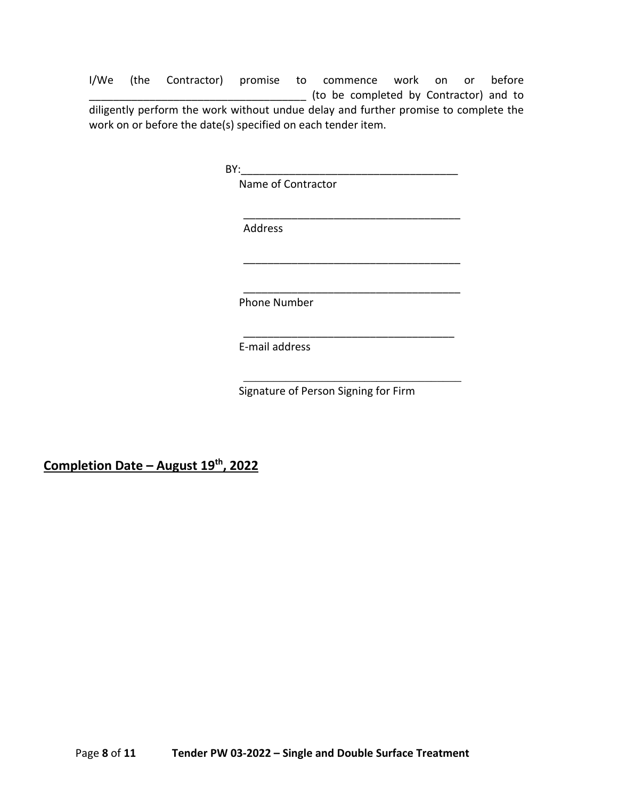I/We (the Contractor) promise to commence work on or before \_\_\_\_\_\_\_\_\_\_\_\_\_\_\_\_\_\_\_\_\_\_\_\_\_\_\_\_\_\_\_\_\_\_\_\_ (to be completed by Contractor) and to diligently perform the work without undue delay and further promise to complete the work on or before the date(s) specified on each tender item.

 $BY:$ 

Name of Contractor

Address

Phone Number

E-mail address

Signature of Person Signing for Firm

\_\_\_\_\_\_\_\_\_\_\_\_\_\_\_\_\_\_\_\_\_\_\_\_\_\_\_\_\_\_\_\_\_\_\_\_

\_\_\_\_\_\_\_\_\_\_\_\_\_\_\_\_\_\_\_\_\_\_\_\_\_\_\_\_\_\_\_\_\_\_\_\_

\_\_\_\_\_\_\_\_\_\_\_\_\_\_\_\_\_\_\_\_\_\_\_\_\_\_\_\_\_\_\_\_\_\_\_\_

\_\_\_\_\_\_\_\_\_\_\_\_\_\_\_\_\_\_\_\_\_\_\_\_\_\_\_\_\_\_\_\_\_\_\_

\_\_\_\_\_\_\_\_\_\_\_\_\_\_\_\_\_\_\_\_\_\_\_\_\_\_\_\_\_\_\_\_\_\_\_\_

**Completion Date – August 19th, 2022**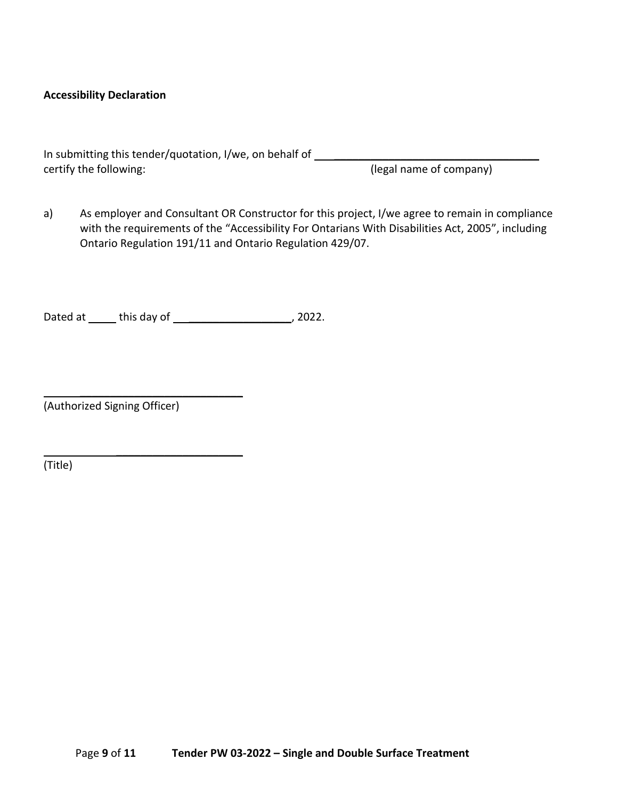#### **Accessibility Declaration**

| In submitting this tender/quotation, I/we, on behalf of |                         |
|---------------------------------------------------------|-------------------------|
| certify the following:                                  | (legal name of company) |

a) As employer and Consultant OR Constructor for this project, I/we agree to remain in compliance with the requirements of the "Accessibility For Ontarians With Disabilities Act, 2005", including Ontario Regulation 191/11 and Ontario Regulation 429/07.

Dated at \_\_\_\_\_\_ this day of \_\_\_\_\_\_\_\_\_\_\_\_\_\_\_\_\_\_\_\_\_\_, 2022.

 $\overline{\phantom{a}}$  , where  $\overline{\phantom{a}}$  , where  $\overline{\phantom{a}}$  , where  $\overline{\phantom{a}}$ 

 $\overline{\phantom{a}}$  , where  $\overline{\phantom{a}}$ 

(Authorized Signing Officer)

(Title)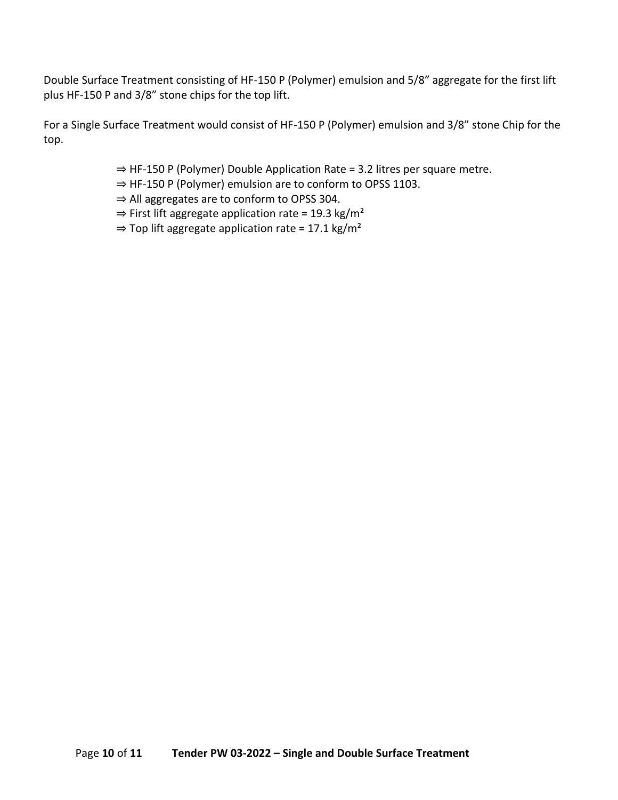Double Surface Treatment consisting of HF-150 P (Polymer) emulsion and 5/8" aggregate for the first lift plus HF-150 P and 3/8" stone chips for the top lift.

For a Single Surface Treatment would consist of HF-150 P (Polymer) emulsion and 3/8" stone Chip for the top.

- ⇒ HF-150 P (Polymer) Double Application Rate = 3.2 litres per square metre.
- ⇒ HF-150 P (Polymer) emulsion are to conform to OPSS 1103.
- ⇒ All aggregates are to conform to OPSS 304.
- $\Rightarrow$  First lift aggregate application rate = 19.3 kg/m<sup>2</sup>
- $\Rightarrow$  Top lift aggregate application rate = 17.1 kg/m<sup>2</sup>